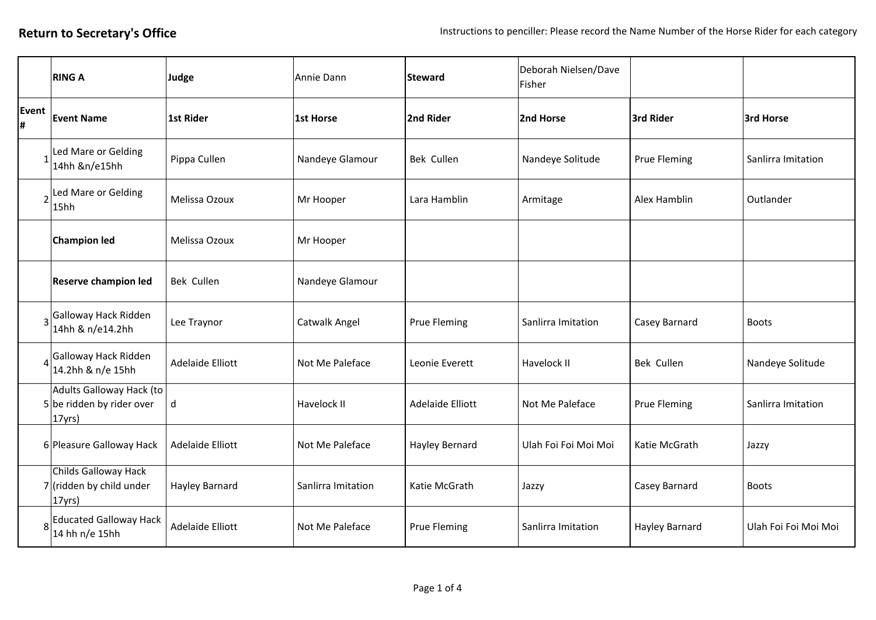|                | <b>RING A</b>                                                   | Judge                   | Annie Dann         | <b>Steward</b>      | Deborah Nielsen/Dave<br>Fisher |                       |                      |
|----------------|-----------------------------------------------------------------|-------------------------|--------------------|---------------------|--------------------------------|-----------------------|----------------------|
| Event<br>H.    | <b>Event Name</b>                                               | 1st Rider               | 1st Horse          | 2nd Rider           | 2nd Horse                      | 3rd Rider             | 3rd Horse            |
|                | Led Mare or Gelding<br>14hh &n/e15hh                            | Pippa Cullen            | Nandeye Glamour    | Bek Cullen          | Nandeye Solitude               | <b>Prue Fleming</b>   | Sanlirra Imitation   |
| $\overline{2}$ | Led Mare or Gelding<br>15hh                                     | Melissa Ozoux           | Mr Hooper          | Lara Hamblin        | Armitage                       | Alex Hamblin          | Outlander            |
|                | <b>Champion led</b>                                             | Melissa Ozoux           | Mr Hooper          |                     |                                |                       |                      |
|                | Reserve champion led                                            | Bek Cullen              | Nandeye Glamour    |                     |                                |                       |                      |
|                | 3 Galloway Hack Ridden<br>14hh & n/e14.2hh                      | Lee Traynor             | Catwalk Angel      | <b>Prue Fleming</b> | Sanlirra Imitation             | Casey Barnard         | <b>Boots</b>         |
|                | Galloway Hack Ridden<br>14.2hh & n/e 15hh                       | <b>Adelaide Elliott</b> | Not Me Paleface    | Leonie Everett      | Havelock II                    | Bek Cullen            | Nandeye Solitude     |
|                | Adults Galloway Hack (to<br>5 be ridden by rider over<br>17yrs) | d                       | Havelock II        | Adelaide Elliott    | Not Me Paleface                | <b>Prue Fleming</b>   | Sanlirra Imitation   |
|                | 6 Pleasure Galloway Hack                                        | <b>Adelaide Elliott</b> | Not Me Paleface    | Hayley Bernard      | Ulah Foi Foi Moi Moi           | Katie McGrath         | Jazzy                |
|                | Childs Galloway Hack<br>$7$ (ridden by child under<br>17yrs)    | Hayley Barnard          | Sanlirra Imitation | Katie McGrath       | Jazzy                          | Casey Barnard         | <b>Boots</b>         |
|                | <b>Educated Galloway Hack</b><br>14 hh n/e 15hh                 | <b>Adelaide Elliott</b> | Not Me Paleface    | <b>Prue Fleming</b> | Sanlirra Imitation             | <b>Hayley Barnard</b> | Ulah Foi Foi Moi Moi |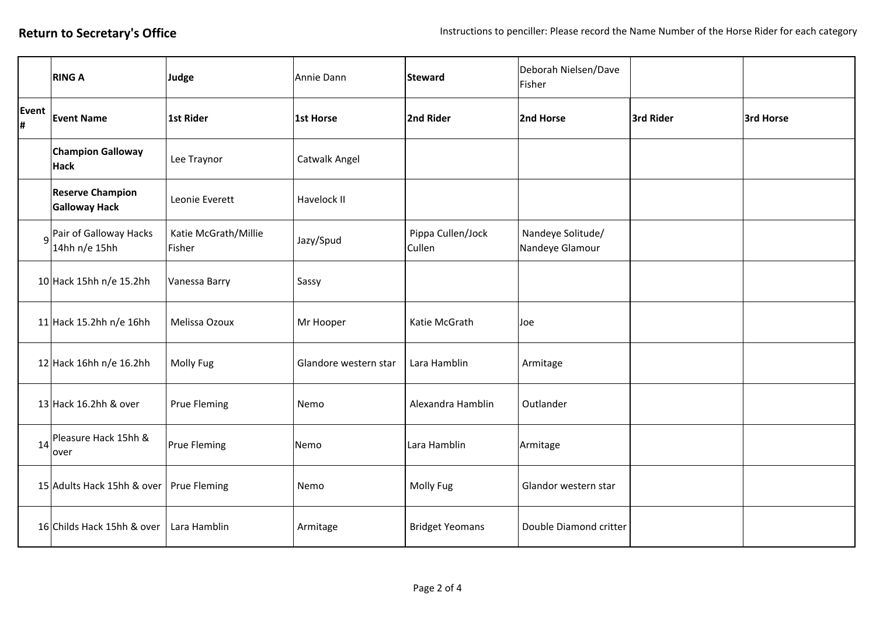|             | <b>RING A</b>                                        | Judge                          | Annie Dann            | <b>Steward</b>              | Deborah Nielsen/Dave<br>Fisher       |           |           |
|-------------|------------------------------------------------------|--------------------------------|-----------------------|-----------------------------|--------------------------------------|-----------|-----------|
| Event<br>H. | <b>Event Name</b>                                    | <b>1st Rider</b>               | 1st Horse             | 2nd Rider                   | 2nd Horse                            | 3rd Rider | 3rd Horse |
|             | <b>Champion Galloway</b><br>Hack                     | Lee Traynor                    | Catwalk Angel         |                             |                                      |           |           |
|             | <b>Reserve Champion</b><br><b>Galloway Hack</b>      | Leonie Everett                 | Havelock II           |                             |                                      |           |           |
|             | 9 <sup>Pair</sup> of Galloway Hacks<br>14hh n/e 15hh | Katie McGrath/Millie<br>Fisher | Jazy/Spud             | Pippa Cullen/Jock<br>Cullen | Nandeye Solitude/<br>Nandeye Glamour |           |           |
|             | 10 Hack 15hh n/e 15.2hh                              | Vanessa Barry                  | Sassy                 |                             |                                      |           |           |
|             | 11 Hack 15.2hh n/e 16hh                              | Melissa Ozoux                  | Mr Hooper             | Katie McGrath               | Joe                                  |           |           |
|             | 12 Hack 16hh n/e 16.2hh                              | Molly Fug                      | Glandore western star | Lara Hamblin                | Armitage                             |           |           |
|             | 13 Hack 16.2hh & over                                | <b>Prue Fleming</b>            | Nemo                  | Alexandra Hamblin           | Outlander                            |           |           |
| 14          | Pleasure Hack 15hh &<br>over                         | <b>Prue Fleming</b>            | Nemo                  | Lara Hamblin                | Armitage                             |           |           |
|             | 15 Adults Hack 15hh & over                           | <b>Prue Fleming</b>            | Nemo                  | <b>Molly Fug</b>            | Glandor western star                 |           |           |
|             | 16 Childs Hack 15hh & over                           | Lara Hamblin                   | Armitage              | <b>Bridget Yeomans</b>      | Double Diamond critter               |           |           |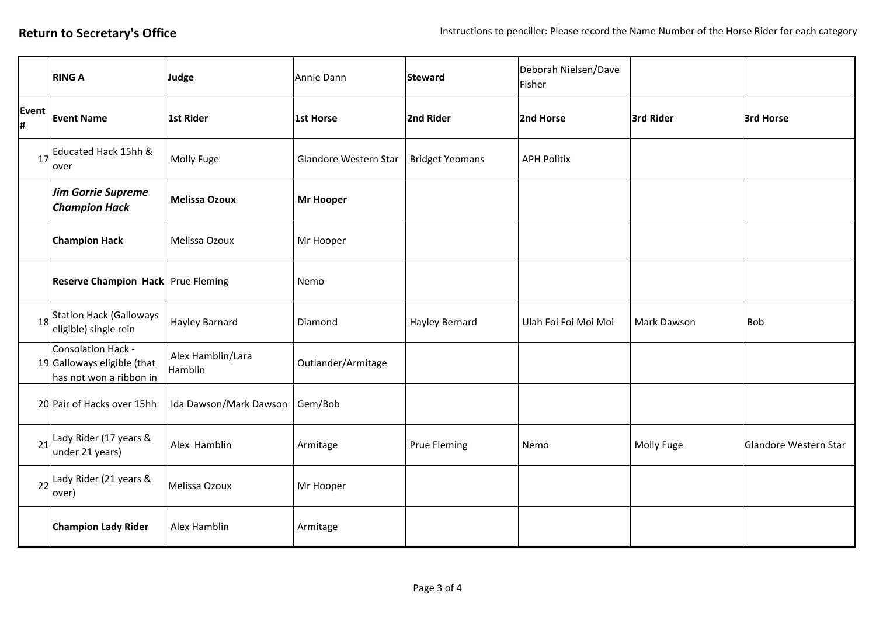|            | <b>RING A</b>                                                                  | Judge                        | Annie Dann            | <b>Steward</b>         | Deborah Nielsen/Dave<br>Fisher |             |                       |
|------------|--------------------------------------------------------------------------------|------------------------------|-----------------------|------------------------|--------------------------------|-------------|-----------------------|
| Event<br># | <b>Event Name</b>                                                              | 1st Rider                    | 1st Horse             | 2nd Rider              | 2nd Horse                      | 3rd Rider   | 3rd Horse             |
| 17         | Educated Hack 15hh &<br>over                                                   | Molly Fuge                   | Glandore Western Star | <b>Bridget Yeomans</b> | <b>APH Politix</b>             |             |                       |
|            | Jim Gorrie Supreme<br><b>Champion Hack</b>                                     | <b>Melissa Ozoux</b>         | <b>Mr Hooper</b>      |                        |                                |             |                       |
|            | <b>Champion Hack</b>                                                           | Melissa Ozoux                | Mr Hooper             |                        |                                |             |                       |
|            | <b>Reserve Champion Hack</b> Prue Fleming                                      |                              | Nemo                  |                        |                                |             |                       |
|            | 18 <sup>Station</sup> Hack (Galloways<br>eligible) single rein                 | <b>Hayley Barnard</b>        | Diamond               | Hayley Bernard         | Ulah Foi Foi Moi Moi           | Mark Dawson | Bob                   |
|            | Consolation Hack -<br>$19$ Galloways eligible (that<br>has not won a ribbon in | Alex Hamblin/Lara<br>Hamblin | Outlander/Armitage    |                        |                                |             |                       |
|            | 20 Pair of Hacks over 15hh                                                     | Ida Dawson/Mark Dawson       | Gem/Bob               |                        |                                |             |                       |
| 21         | Lady Rider (17 years &<br>under 21 years)                                      | Alex Hamblin                 | Armitage              | Prue Fleming           | Nemo                           | Molly Fuge  | Glandore Western Star |
| 22         | Lady Rider (21 years &<br>over)                                                | Melissa Ozoux                | Mr Hooper             |                        |                                |             |                       |
|            | <b>Champion Lady Rider</b>                                                     | Alex Hamblin                 | Armitage              |                        |                                |             |                       |